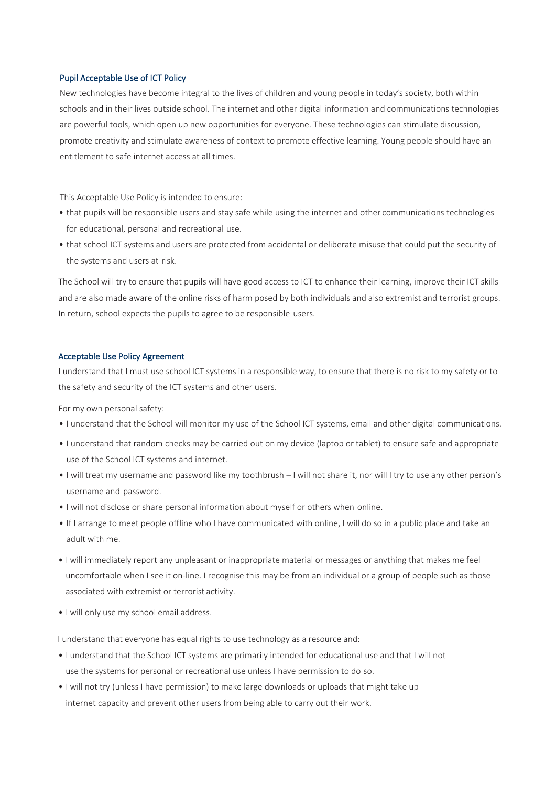## Pupil Acceptable Use of ICT Policy

New technologies have become integral to the lives of children and young people in today's society, both within schools and in their lives outside school. The internet and other digital information and communications technologies are powerful tools, which open up new opportunities for everyone. These technologies can stimulate discussion, promote creativity and stimulate awareness of context to promote effective learning. Young people should have an entitlement to safe internet access at all times.

This Acceptable Use Policy is intended to ensure:

- that pupils will be responsible users and stay safe while using the internet and other communications technologies for educational, personal and recreational use.
- that school ICT systems and users are protected from accidental or deliberate misuse that could put the security of the systems and users at risk.

The School will try to ensure that pupils will have good access to ICT to enhance their learning, improve their ICT skills and are also made aware of the online risks of harm posed by both individuals and also extremist and terrorist groups. In return, school expects the pupils to agree to be responsible users.

## Acceptable Use Policy Agreement

I understand that I must use school ICT systems in a responsible way, to ensure that there is no risk to my safety or to the safety and security of the ICT systems and other users.

For my own personal safety:

- I understand that the School will monitor my use of the School ICT systems, email and other digital communications.
- I understand that random checks may be carried out on my device (laptop or tablet) to ensure safe and appropriate use of the School ICT systems and internet.
- I will treat my username and password like my toothbrush I will not share it, nor will I try to use any other person's username and password.
- I will not disclose or share personal information about myself or others when online.
- If I arrange to meet people offline who I have communicated with online, I will do so in a public place and take an adult with me.
- I will immediately report any unpleasant or inappropriate material or messages or anything that makes me feel uncomfortable when I see it on-line. I recognise this may be from an individual or a group of people such as those associated with extremist or terrorist activity.
- I will only use my school email address.

I understand that everyone has equal rights to use technology as a resource and:

- I understand that the School ICT systems are primarily intended for educational use and that I will not use the systems for personal or recreational use unless I have permission to do so.
- I will not try (unless I have permission) to make large downloads or uploads that might take up internet capacity and prevent other users from being able to carry out their work.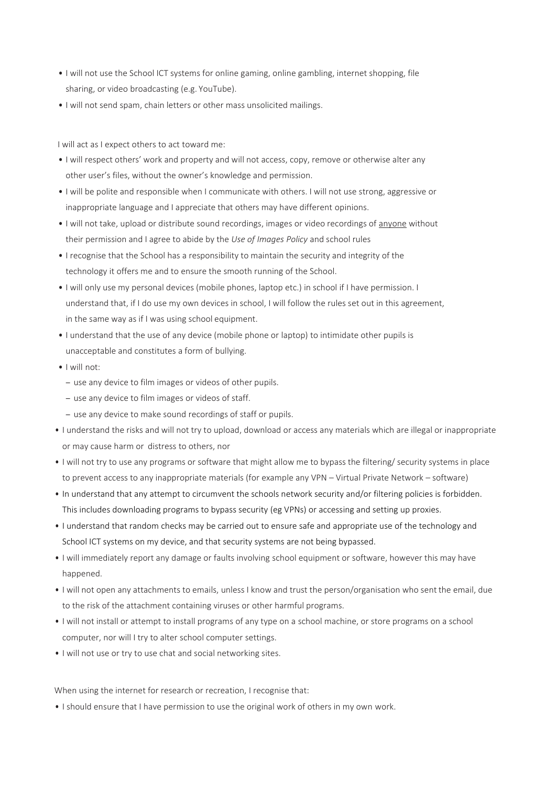- I will not use the School ICT systems for online gaming, online gambling, internet shopping, file sharing, or video broadcasting (e.g. YouTube).
- I will not send spam, chain letters or other mass unsolicited mailings.

I will act as I expect others to act toward me:

- I will respect others' work and property and will not access, copy, remove or otherwise alter any other user's files, without the owner's knowledge and permission.
- I will be polite and responsible when I communicate with others. I will not use strong, aggressive or inappropriate language and I appreciate that others may have different opinions.
- I will not take, upload or distribute sound recordings, images or video recordings of anyone without their permission and I agree to abide by the *Use of Images Policy* and school rules
- I recognise that the School has a responsibility to maintain the security and integrity of the technology it offers me and to ensure the smooth running of the School.
- I will only use my personal devices (mobile phones, laptop etc.) in school if I have permission. I understand that, if I do use my own devices in school, I will follow the rules set out in this agreement, in the same way as if I was using school equipment.
- I understand that the use of any device (mobile phone or laptop) to intimidate other pupils is unacceptable and constitutes a form of bullying.
- I will not:
	- use any device to film images or videos of other pupils.
	- use any device to film images or videos of staff.
	- use any device to make sound recordings of staff or pupils.
- I understand the risks and will not try to upload, download or access any materials which are illegal or inappropriate or may cause harm or distress to others, nor
- I will not try to use any programs or software that might allow me to bypass the filtering/ security systems in place to prevent access to any inappropriate materials (for example any VPN – Virtual Private Network – software)
- In understand that any attempt to circumvent the schools network security and/or filtering policies is forbidden. This includes downloading programs to bypass security (eg VPNs) or accessing and setting up proxies.
- I understand that random checks may be carried out to ensure safe and appropriate use of the technology and School ICT systems on my device, and that security systems are not being bypassed.
- I will immediately report any damage or faults involving school equipment or software, however this may have happened.
- I will not open any attachments to emails, unless I know and trust the person/organisation who sent the email, due to the risk of the attachment containing viruses or other harmful programs.
- I will not install or attempt to install programs of any type on a school machine, or store programs on a school computer, nor will I try to alter school computer settings.
- I will not use or try to use chat and social networking sites.

When using the internet for research or recreation, I recognise that:

• I should ensure that I have permission to use the original work of others in my own work.